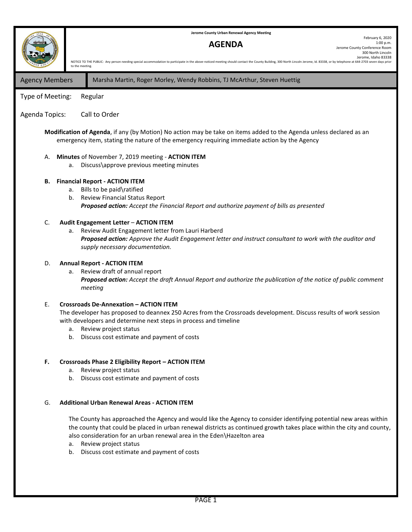